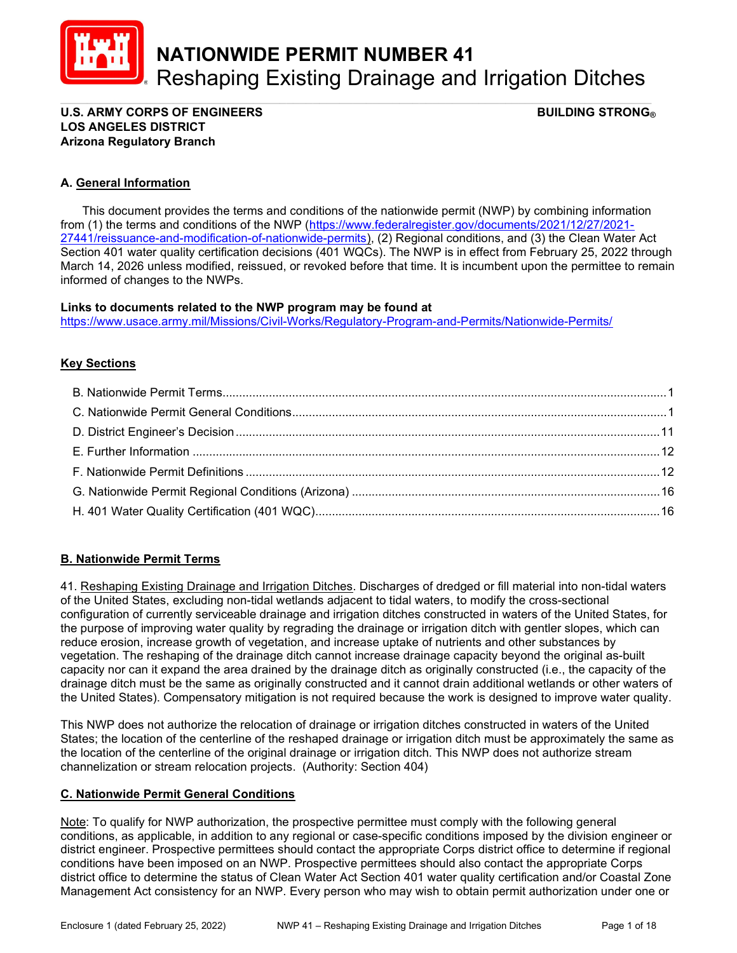

NATIONWIDE PERMIT NUMBER 41 Reshaping Existing Drainage and Irrigation Ditches

#### \_\_\_\_\_\_\_\_\_\_\_\_\_\_\_\_\_\_\_\_\_\_\_\_\_\_\_\_\_\_\_\_\_\_\_\_\_\_\_\_\_\_\_\_\_\_\_\_\_\_\_\_\_\_\_\_\_\_\_\_\_\_\_\_\_\_\_\_\_\_\_\_\_\_\_\_\_\_\_\_\_\_\_\_\_\_\_\_\_ U.S. ARMY CORPS OF ENGINEERS  $\begin{array}{ccc} \text{U.S.} & \text{ARMY} \text{ CORPS} & \text{OPE} \end{array}$ LOS ANGELES DISTRICT Arizona Regulatory Branch

# A. General Information

 This document provides the terms and conditions of the nationwide permit (NWP) by combining information from (1) the terms and conditions of the NWP (https://www.federalregister.gov/documents/2021/12/27/2021- 27441/reissuance-and-modification-of-nationwide-permits), (2) Regional conditions, and (3) the Clean Water Act Section 401 water quality certification decisions (401 WQCs). The NWP is in effect from February 25, 2022 through March 14, 2026 unless modified, reissued, or revoked before that time. It is incumbent upon the permittee to remain informed of changes to the NWPs.

### Links to documents related to the NWP program may be found at

https://www.usace.army.mil/Missions/Civil-Works/Regulatory-Program-and-Permits/Nationwide-Permits/

## **Key Sections**

# B. Nationwide Permit Terms

41. Reshaping Existing Drainage and Irrigation Ditches. Discharges of dredged or fill material into non-tidal waters of the United States, excluding non-tidal wetlands adjacent to tidal waters, to modify the cross-sectional configuration of currently serviceable drainage and irrigation ditches constructed in waters of the United States, for the purpose of improving water quality by regrading the drainage or irrigation ditch with gentler slopes, which can reduce erosion, increase growth of vegetation, and increase uptake of nutrients and other substances by vegetation. The reshaping of the drainage ditch cannot increase drainage capacity beyond the original as-built capacity nor can it expand the area drained by the drainage ditch as originally constructed (i.e., the capacity of the drainage ditch must be the same as originally constructed and it cannot drain additional wetlands or other waters of the United States). Compensatory mitigation is not required because the work is designed to improve water quality.

This NWP does not authorize the relocation of drainage or irrigation ditches constructed in waters of the United States; the location of the centerline of the reshaped drainage or irrigation ditch must be approximately the same as the location of the centerline of the original drainage or irrigation ditch. This NWP does not authorize stream channelization or stream relocation projects. (Authority: Section 404)

## C. Nationwide Permit General Conditions

Note: To qualify for NWP authorization, the prospective permittee must comply with the following general conditions, as applicable, in addition to any regional or case-specific conditions imposed by the division engineer or district engineer. Prospective permittees should contact the appropriate Corps district office to determine if regional conditions have been imposed on an NWP. Prospective permittees should also contact the appropriate Corps district office to determine the status of Clean Water Act Section 401 water quality certification and/or Coastal Zone Management Act consistency for an NWP. Every person who may wish to obtain permit authorization under one or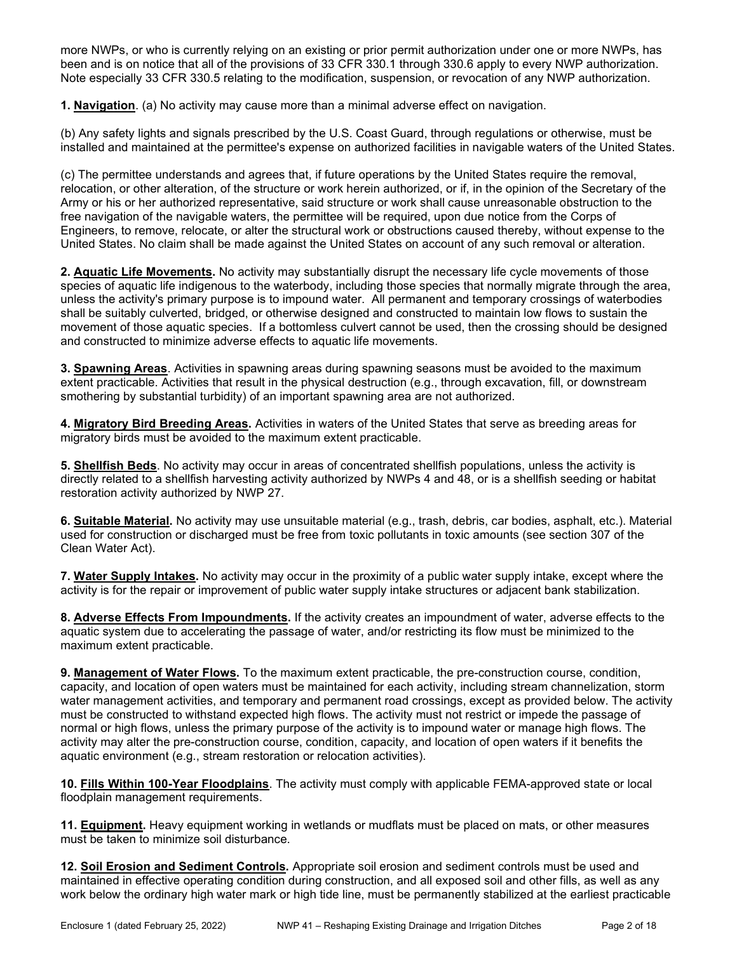more NWPs, or who is currently relying on an existing or prior permit authorization under one or more NWPs, has been and is on notice that all of the provisions of 33 CFR 330.1 through 330.6 apply to every NWP authorization. Note especially 33 CFR 330.5 relating to the modification, suspension, or revocation of any NWP authorization.

1. Navigation. (a) No activity may cause more than a minimal adverse effect on navigation.

(b) Any safety lights and signals prescribed by the U.S. Coast Guard, through regulations or otherwise, must be installed and maintained at the permittee's expense on authorized facilities in navigable waters of the United States.

(c) The permittee understands and agrees that, if future operations by the United States require the removal, relocation, or other alteration, of the structure or work herein authorized, or if, in the opinion of the Secretary of the Army or his or her authorized representative, said structure or work shall cause unreasonable obstruction to the free navigation of the navigable waters, the permittee will be required, upon due notice from the Corps of Engineers, to remove, relocate, or alter the structural work or obstructions caused thereby, without expense to the United States. No claim shall be made against the United States on account of any such removal or alteration.

2. Aquatic Life Movements. No activity may substantially disrupt the necessary life cycle movements of those species of aquatic life indigenous to the waterbody, including those species that normally migrate through the area, unless the activity's primary purpose is to impound water. All permanent and temporary crossings of waterbodies shall be suitably culverted, bridged, or otherwise designed and constructed to maintain low flows to sustain the movement of those aquatic species. If a bottomless culvert cannot be used, then the crossing should be designed and constructed to minimize adverse effects to aquatic life movements.

3. Spawning Areas. Activities in spawning areas during spawning seasons must be avoided to the maximum extent practicable. Activities that result in the physical destruction (e.g., through excavation, fill, or downstream smothering by substantial turbidity) of an important spawning area are not authorized.

4. Migratory Bird Breeding Areas. Activities in waters of the United States that serve as breeding areas for migratory birds must be avoided to the maximum extent practicable.

5. Shellfish Beds. No activity may occur in areas of concentrated shellfish populations, unless the activity is directly related to a shellfish harvesting activity authorized by NWPs 4 and 48, or is a shellfish seeding or habitat restoration activity authorized by NWP 27.

6. Suitable Material. No activity may use unsuitable material (e.g., trash, debris, car bodies, asphalt, etc.). Material used for construction or discharged must be free from toxic pollutants in toxic amounts (see section 307 of the Clean Water Act).

7. Water Supply Intakes. No activity may occur in the proximity of a public water supply intake, except where the activity is for the repair or improvement of public water supply intake structures or adjacent bank stabilization.

8. Adverse Effects From Impoundments. If the activity creates an impoundment of water, adverse effects to the aquatic system due to accelerating the passage of water, and/or restricting its flow must be minimized to the maximum extent practicable.

9. Management of Water Flows. To the maximum extent practicable, the pre-construction course, condition, capacity, and location of open waters must be maintained for each activity, including stream channelization, storm water management activities, and temporary and permanent road crossings, except as provided below. The activity must be constructed to withstand expected high flows. The activity must not restrict or impede the passage of normal or high flows, unless the primary purpose of the activity is to impound water or manage high flows. The activity may alter the pre-construction course, condition, capacity, and location of open waters if it benefits the aquatic environment (e.g., stream restoration or relocation activities).

10. Fills Within 100-Year Floodplains. The activity must comply with applicable FEMA-approved state or local floodplain management requirements.

11. Equipment. Heavy equipment working in wetlands or mudflats must be placed on mats, or other measures must be taken to minimize soil disturbance.

12. Soil Erosion and Sediment Controls. Appropriate soil erosion and sediment controls must be used and maintained in effective operating condition during construction, and all exposed soil and other fills, as well as any work below the ordinary high water mark or high tide line, must be permanently stabilized at the earliest practicable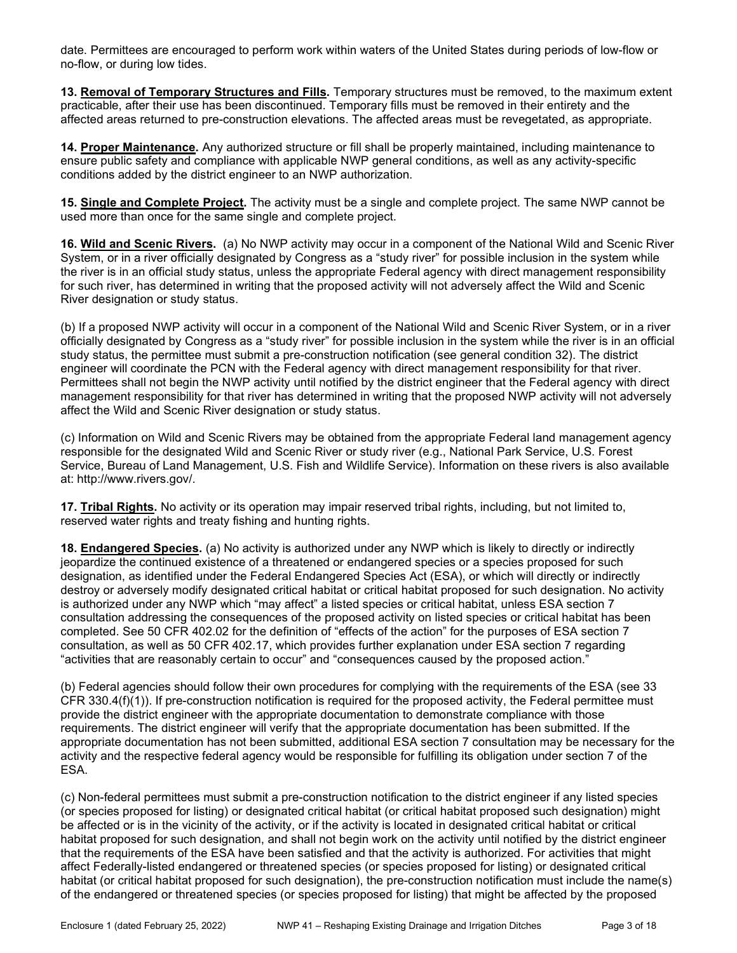date. Permittees are encouraged to perform work within waters of the United States during periods of low-flow or no-flow, or during low tides.

13. Removal of Temporary Structures and Fills. Temporary structures must be removed, to the maximum extent practicable, after their use has been discontinued. Temporary fills must be removed in their entirety and the affected areas returned to pre-construction elevations. The affected areas must be revegetated, as appropriate.

14. Proper Maintenance. Any authorized structure or fill shall be properly maintained, including maintenance to ensure public safety and compliance with applicable NWP general conditions, as well as any activity-specific conditions added by the district engineer to an NWP authorization.

15. Single and Complete Project. The activity must be a single and complete project. The same NWP cannot be used more than once for the same single and complete project.

16. Wild and Scenic Rivers. (a) No NWP activity may occur in a component of the National Wild and Scenic River System, or in a river officially designated by Congress as a "study river" for possible inclusion in the system while the river is in an official study status, unless the appropriate Federal agency with direct management responsibility for such river, has determined in writing that the proposed activity will not adversely affect the Wild and Scenic River designation or study status.

(b) If a proposed NWP activity will occur in a component of the National Wild and Scenic River System, or in a river officially designated by Congress as a "study river" for possible inclusion in the system while the river is in an official study status, the permittee must submit a pre-construction notification (see general condition 32). The district engineer will coordinate the PCN with the Federal agency with direct management responsibility for that river. Permittees shall not begin the NWP activity until notified by the district engineer that the Federal agency with direct management responsibility for that river has determined in writing that the proposed NWP activity will not adversely affect the Wild and Scenic River designation or study status.

(c) Information on Wild and Scenic Rivers may be obtained from the appropriate Federal land management agency responsible for the designated Wild and Scenic River or study river (e.g., National Park Service, U.S. Forest Service, Bureau of Land Management, U.S. Fish and Wildlife Service). Information on these rivers is also available at: http://www.rivers.gov/.

17. Tribal Rights. No activity or its operation may impair reserved tribal rights, including, but not limited to, reserved water rights and treaty fishing and hunting rights.

18. Endangered Species. (a) No activity is authorized under any NWP which is likely to directly or indirectly jeopardize the continued existence of a threatened or endangered species or a species proposed for such designation, as identified under the Federal Endangered Species Act (ESA), or which will directly or indirectly destroy or adversely modify designated critical habitat or critical habitat proposed for such designation. No activity is authorized under any NWP which "may affect" a listed species or critical habitat, unless ESA section 7 consultation addressing the consequences of the proposed activity on listed species or critical habitat has been completed. See 50 CFR 402.02 for the definition of "effects of the action" for the purposes of ESA section 7 consultation, as well as 50 CFR 402.17, which provides further explanation under ESA section 7 regarding "activities that are reasonably certain to occur" and "consequences caused by the proposed action."

(b) Federal agencies should follow their own procedures for complying with the requirements of the ESA (see 33 CFR 330.4(f)(1)). If pre-construction notification is required for the proposed activity, the Federal permittee must provide the district engineer with the appropriate documentation to demonstrate compliance with those requirements. The district engineer will verify that the appropriate documentation has been submitted. If the appropriate documentation has not been submitted, additional ESA section 7 consultation may be necessary for the activity and the respective federal agency would be responsible for fulfilling its obligation under section 7 of the ESA.

(c) Non-federal permittees must submit a pre-construction notification to the district engineer if any listed species (or species proposed for listing) or designated critical habitat (or critical habitat proposed such designation) might be affected or is in the vicinity of the activity, or if the activity is located in designated critical habitat or critical habitat proposed for such designation, and shall not begin work on the activity until notified by the district engineer that the requirements of the ESA have been satisfied and that the activity is authorized. For activities that might affect Federally-listed endangered or threatened species (or species proposed for listing) or designated critical habitat (or critical habitat proposed for such designation), the pre-construction notification must include the name(s) of the endangered or threatened species (or species proposed for listing) that might be affected by the proposed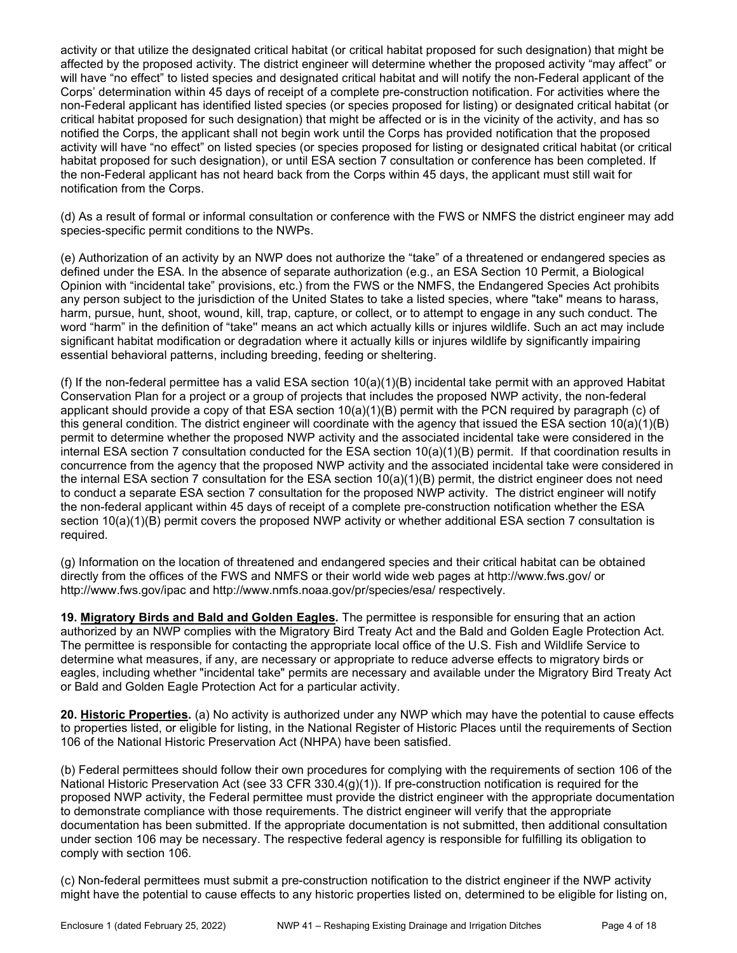activity or that utilize the designated critical habitat (or critical habitat proposed for such designation) that might be affected by the proposed activity. The district engineer will determine whether the proposed activity "may affect" or will have "no effect" to listed species and designated critical habitat and will notify the non-Federal applicant of the Corps' determination within 45 days of receipt of a complete pre-construction notification. For activities where the non-Federal applicant has identified listed species (or species proposed for listing) or designated critical habitat (or critical habitat proposed for such designation) that might be affected or is in the vicinity of the activity, and has so notified the Corps, the applicant shall not begin work until the Corps has provided notification that the proposed activity will have "no effect" on listed species (or species proposed for listing or designated critical habitat (or critical habitat proposed for such designation), or until ESA section 7 consultation or conference has been completed. If the non-Federal applicant has not heard back from the Corps within 45 days, the applicant must still wait for notification from the Corps.

(d) As a result of formal or informal consultation or conference with the FWS or NMFS the district engineer may add species-specific permit conditions to the NWPs.

(e) Authorization of an activity by an NWP does not authorize the "take" of a threatened or endangered species as defined under the ESA. In the absence of separate authorization (e.g., an ESA Section 10 Permit, a Biological Opinion with "incidental take" provisions, etc.) from the FWS or the NMFS, the Endangered Species Act prohibits any person subject to the jurisdiction of the United States to take a listed species, where "take" means to harass, harm, pursue, hunt, shoot, wound, kill, trap, capture, or collect, or to attempt to engage in any such conduct. The word "harm" in the definition of "take'' means an act which actually kills or injures wildlife. Such an act may include significant habitat modification or degradation where it actually kills or injures wildlife by significantly impairing essential behavioral patterns, including breeding, feeding or sheltering.

(f) If the non-federal permittee has a valid ESA section  $10(a)(1)(B)$  incidental take permit with an approved Habitat Conservation Plan for a project or a group of projects that includes the proposed NWP activity, the non-federal applicant should provide a copy of that ESA section  $10(a)(1)(B)$  permit with the PCN required by paragraph (c) of this general condition. The district engineer will coordinate with the agency that issued the ESA section 10(a)(1)(B) permit to determine whether the proposed NWP activity and the associated incidental take were considered in the internal ESA section 7 consultation conducted for the ESA section 10(a)(1)(B) permit. If that coordination results in concurrence from the agency that the proposed NWP activity and the associated incidental take were considered in the internal ESA section 7 consultation for the ESA section 10(a)(1)(B) permit, the district engineer does not need to conduct a separate ESA section 7 consultation for the proposed NWP activity. The district engineer will notify the non-federal applicant within 45 days of receipt of a complete pre-construction notification whether the ESA section 10(a)(1)(B) permit covers the proposed NWP activity or whether additional ESA section 7 consultation is required.

(g) Information on the location of threatened and endangered species and their critical habitat can be obtained directly from the offices of the FWS and NMFS or their world wide web pages at http://www.fws.gov/ or http://www.fws.gov/ipac and http://www.nmfs.noaa.gov/pr/species/esa/ respectively.

19. Migratory Birds and Bald and Golden Eagles. The permittee is responsible for ensuring that an action authorized by an NWP complies with the Migratory Bird Treaty Act and the Bald and Golden Eagle Protection Act. The permittee is responsible for contacting the appropriate local office of the U.S. Fish and Wildlife Service to determine what measures, if any, are necessary or appropriate to reduce adverse effects to migratory birds or eagles, including whether "incidental take" permits are necessary and available under the Migratory Bird Treaty Act or Bald and Golden Eagle Protection Act for a particular activity.

20. Historic Properties. (a) No activity is authorized under any NWP which may have the potential to cause effects to properties listed, or eligible for listing, in the National Register of Historic Places until the requirements of Section 106 of the National Historic Preservation Act (NHPA) have been satisfied.

(b) Federal permittees should follow their own procedures for complying with the requirements of section 106 of the National Historic Preservation Act (see 33 CFR 330.4(g)(1)). If pre-construction notification is required for the proposed NWP activity, the Federal permittee must provide the district engineer with the appropriate documentation to demonstrate compliance with those requirements. The district engineer will verify that the appropriate documentation has been submitted. If the appropriate documentation is not submitted, then additional consultation under section 106 may be necessary. The respective federal agency is responsible for fulfilling its obligation to comply with section 106.

(c) Non-federal permittees must submit a pre-construction notification to the district engineer if the NWP activity might have the potential to cause effects to any historic properties listed on, determined to be eligible for listing on,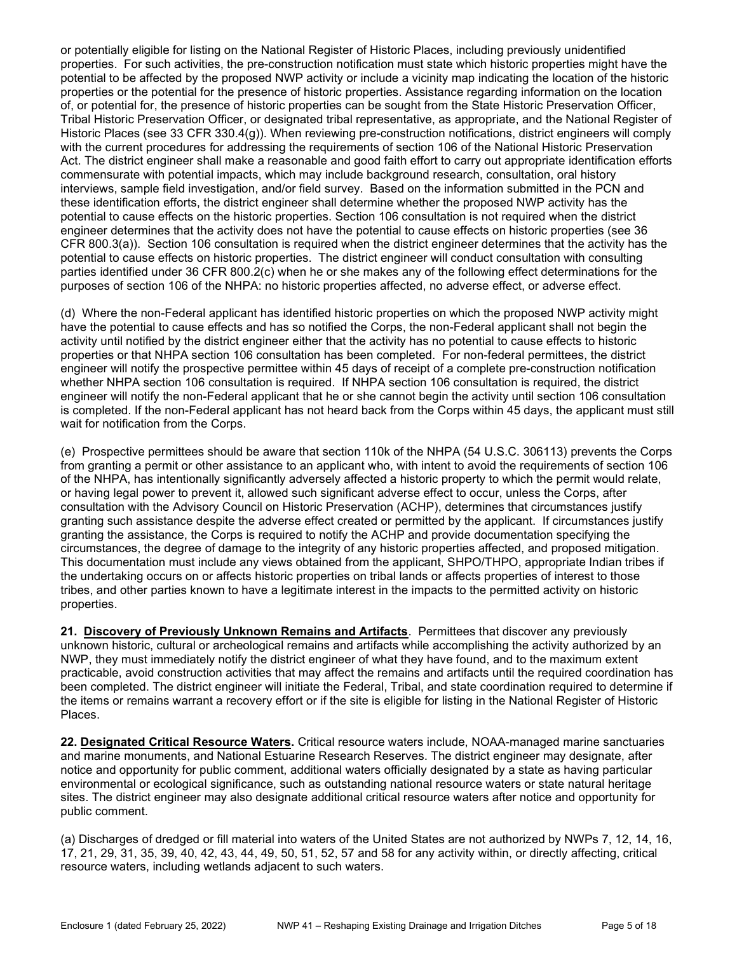or potentially eligible for listing on the National Register of Historic Places, including previously unidentified properties. For such activities, the pre-construction notification must state which historic properties might have the potential to be affected by the proposed NWP activity or include a vicinity map indicating the location of the historic properties or the potential for the presence of historic properties. Assistance regarding information on the location of, or potential for, the presence of historic properties can be sought from the State Historic Preservation Officer, Tribal Historic Preservation Officer, or designated tribal representative, as appropriate, and the National Register of Historic Places (see 33 CFR 330.4(g)). When reviewing pre-construction notifications, district engineers will comply with the current procedures for addressing the requirements of section 106 of the National Historic Preservation Act. The district engineer shall make a reasonable and good faith effort to carry out appropriate identification efforts commensurate with potential impacts, which may include background research, consultation, oral history interviews, sample field investigation, and/or field survey. Based on the information submitted in the PCN and these identification efforts, the district engineer shall determine whether the proposed NWP activity has the potential to cause effects on the historic properties. Section 106 consultation is not required when the district engineer determines that the activity does not have the potential to cause effects on historic properties (see 36 CFR 800.3(a)). Section 106 consultation is required when the district engineer determines that the activity has the potential to cause effects on historic properties. The district engineer will conduct consultation with consulting parties identified under 36 CFR 800.2(c) when he or she makes any of the following effect determinations for the purposes of section 106 of the NHPA: no historic properties affected, no adverse effect, or adverse effect.

(d) Where the non-Federal applicant has identified historic properties on which the proposed NWP activity might have the potential to cause effects and has so notified the Corps, the non-Federal applicant shall not begin the activity until notified by the district engineer either that the activity has no potential to cause effects to historic properties or that NHPA section 106 consultation has been completed. For non-federal permittees, the district engineer will notify the prospective permittee within 45 days of receipt of a complete pre-construction notification whether NHPA section 106 consultation is required. If NHPA section 106 consultation is required, the district engineer will notify the non-Federal applicant that he or she cannot begin the activity until section 106 consultation is completed. If the non-Federal applicant has not heard back from the Corps within 45 days, the applicant must still wait for notification from the Corps.

(e) Prospective permittees should be aware that section 110k of the NHPA (54 U.S.C. 306113) prevents the Corps from granting a permit or other assistance to an applicant who, with intent to avoid the requirements of section 106 of the NHPA, has intentionally significantly adversely affected a historic property to which the permit would relate, or having legal power to prevent it, allowed such significant adverse effect to occur, unless the Corps, after consultation with the Advisory Council on Historic Preservation (ACHP), determines that circumstances justify granting such assistance despite the adverse effect created or permitted by the applicant. If circumstances justify granting the assistance, the Corps is required to notify the ACHP and provide documentation specifying the circumstances, the degree of damage to the integrity of any historic properties affected, and proposed mitigation. This documentation must include any views obtained from the applicant, SHPO/THPO, appropriate Indian tribes if the undertaking occurs on or affects historic properties on tribal lands or affects properties of interest to those tribes, and other parties known to have a legitimate interest in the impacts to the permitted activity on historic properties.

21. Discovery of Previously Unknown Remains and Artifacts. Permittees that discover any previously unknown historic, cultural or archeological remains and artifacts while accomplishing the activity authorized by an NWP, they must immediately notify the district engineer of what they have found, and to the maximum extent practicable, avoid construction activities that may affect the remains and artifacts until the required coordination has been completed. The district engineer will initiate the Federal, Tribal, and state coordination required to determine if the items or remains warrant a recovery effort or if the site is eligible for listing in the National Register of Historic Places.

22. Designated Critical Resource Waters. Critical resource waters include, NOAA-managed marine sanctuaries and marine monuments, and National Estuarine Research Reserves. The district engineer may designate, after notice and opportunity for public comment, additional waters officially designated by a state as having particular environmental or ecological significance, such as outstanding national resource waters or state natural heritage sites. The district engineer may also designate additional critical resource waters after notice and opportunity for public comment.

(a) Discharges of dredged or fill material into waters of the United States are not authorized by NWPs 7, 12, 14, 16, 17, 21, 29, 31, 35, 39, 40, 42, 43, 44, 49, 50, 51, 52, 57 and 58 for any activity within, or directly affecting, critical resource waters, including wetlands adjacent to such waters.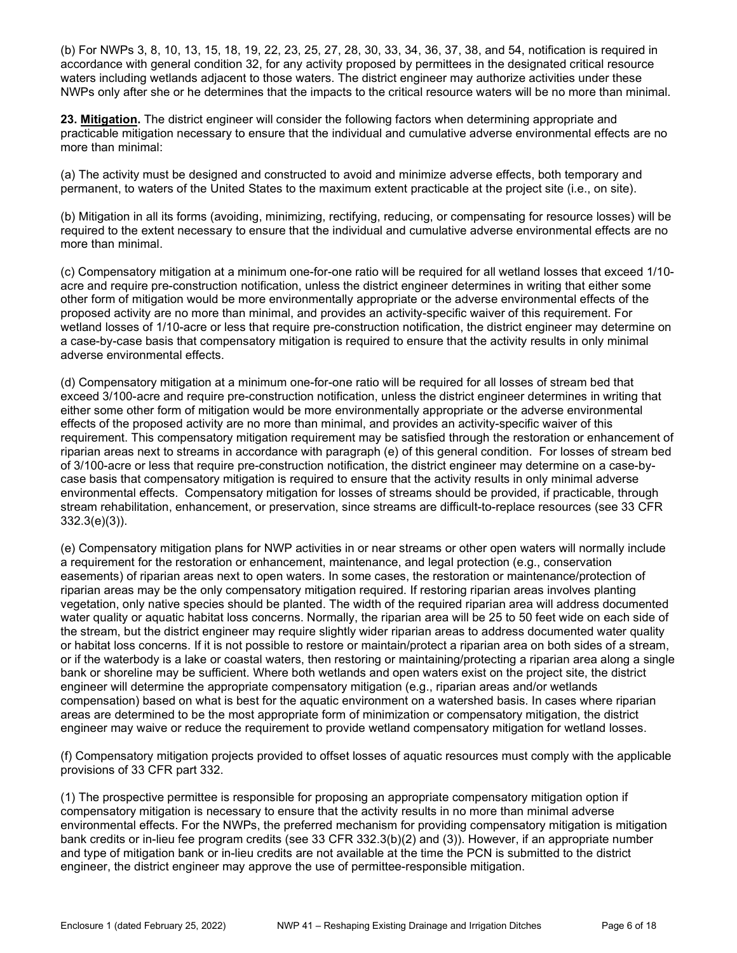(b) For NWPs 3, 8, 10, 13, 15, 18, 19, 22, 23, 25, 27, 28, 30, 33, 34, 36, 37, 38, and 54, notification is required in accordance with general condition 32, for any activity proposed by permittees in the designated critical resource waters including wetlands adjacent to those waters. The district engineer may authorize activities under these NWPs only after she or he determines that the impacts to the critical resource waters will be no more than minimal.

23. Mitigation. The district engineer will consider the following factors when determining appropriate and practicable mitigation necessary to ensure that the individual and cumulative adverse environmental effects are no more than minimal:

(a) The activity must be designed and constructed to avoid and minimize adverse effects, both temporary and permanent, to waters of the United States to the maximum extent practicable at the project site (i.e., on site).

(b) Mitigation in all its forms (avoiding, minimizing, rectifying, reducing, or compensating for resource losses) will be required to the extent necessary to ensure that the individual and cumulative adverse environmental effects are no more than minimal.

(c) Compensatory mitigation at a minimum one-for-one ratio will be required for all wetland losses that exceed 1/10 acre and require pre-construction notification, unless the district engineer determines in writing that either some other form of mitigation would be more environmentally appropriate or the adverse environmental effects of the proposed activity are no more than minimal, and provides an activity-specific waiver of this requirement. For wetland losses of 1/10-acre or less that require pre-construction notification, the district engineer may determine on a case-by-case basis that compensatory mitigation is required to ensure that the activity results in only minimal adverse environmental effects.

(d) Compensatory mitigation at a minimum one-for-one ratio will be required for all losses of stream bed that exceed 3/100-acre and require pre-construction notification, unless the district engineer determines in writing that either some other form of mitigation would be more environmentally appropriate or the adverse environmental effects of the proposed activity are no more than minimal, and provides an activity-specific waiver of this requirement. This compensatory mitigation requirement may be satisfied through the restoration or enhancement of riparian areas next to streams in accordance with paragraph (e) of this general condition. For losses of stream bed of 3/100-acre or less that require pre-construction notification, the district engineer may determine on a case-bycase basis that compensatory mitigation is required to ensure that the activity results in only minimal adverse environmental effects. Compensatory mitigation for losses of streams should be provided, if practicable, through stream rehabilitation, enhancement, or preservation, since streams are difficult-to-replace resources (see 33 CFR 332.3(e)(3)).

(e) Compensatory mitigation plans for NWP activities in or near streams or other open waters will normally include a requirement for the restoration or enhancement, maintenance, and legal protection (e.g., conservation easements) of riparian areas next to open waters. In some cases, the restoration or maintenance/protection of riparian areas may be the only compensatory mitigation required. If restoring riparian areas involves planting vegetation, only native species should be planted. The width of the required riparian area will address documented water quality or aquatic habitat loss concerns. Normally, the riparian area will be 25 to 50 feet wide on each side of the stream, but the district engineer may require slightly wider riparian areas to address documented water quality or habitat loss concerns. If it is not possible to restore or maintain/protect a riparian area on both sides of a stream, or if the waterbody is a lake or coastal waters, then restoring or maintaining/protecting a riparian area along a single bank or shoreline may be sufficient. Where both wetlands and open waters exist on the project site, the district engineer will determine the appropriate compensatory mitigation (e.g., riparian areas and/or wetlands compensation) based on what is best for the aquatic environment on a watershed basis. In cases where riparian areas are determined to be the most appropriate form of minimization or compensatory mitigation, the district engineer may waive or reduce the requirement to provide wetland compensatory mitigation for wetland losses.

(f) Compensatory mitigation projects provided to offset losses of aquatic resources must comply with the applicable provisions of 33 CFR part 332.

(1) The prospective permittee is responsible for proposing an appropriate compensatory mitigation option if compensatory mitigation is necessary to ensure that the activity results in no more than minimal adverse environmental effects. For the NWPs, the preferred mechanism for providing compensatory mitigation is mitigation bank credits or in-lieu fee program credits (see 33 CFR 332.3(b)(2) and (3)). However, if an appropriate number and type of mitigation bank or in-lieu credits are not available at the time the PCN is submitted to the district engineer, the district engineer may approve the use of permittee-responsible mitigation.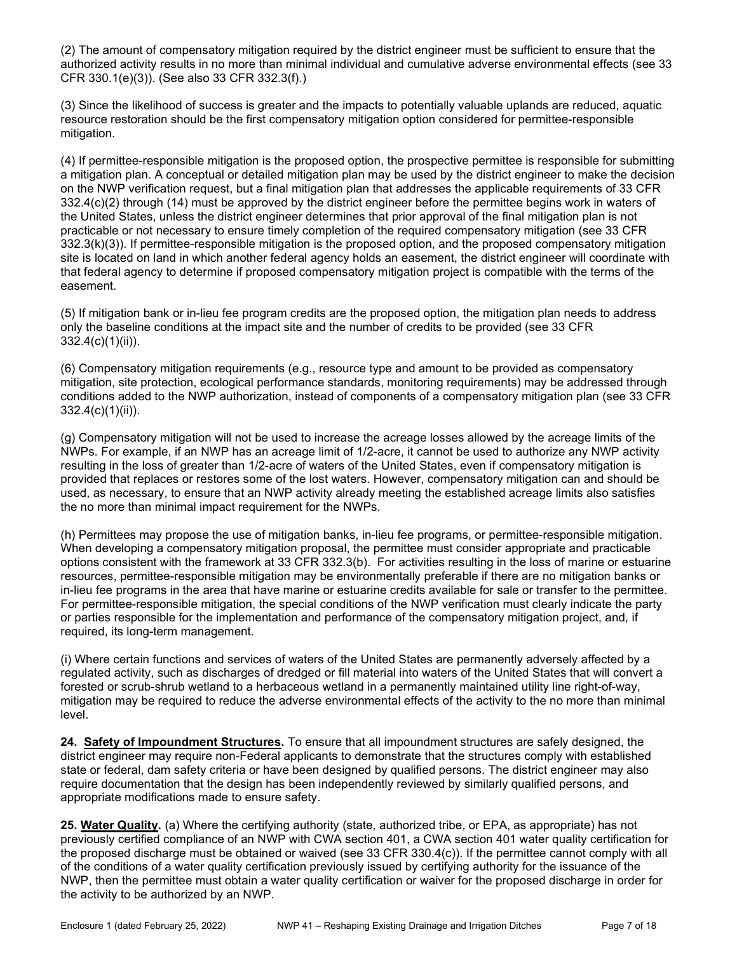(2) The amount of compensatory mitigation required by the district engineer must be sufficient to ensure that the authorized activity results in no more than minimal individual and cumulative adverse environmental effects (see 33 CFR 330.1(e)(3)). (See also 33 CFR 332.3(f).)

(3) Since the likelihood of success is greater and the impacts to potentially valuable uplands are reduced, aquatic resource restoration should be the first compensatory mitigation option considered for permittee-responsible mitigation.

(4) If permittee-responsible mitigation is the proposed option, the prospective permittee is responsible for submitting a mitigation plan. A conceptual or detailed mitigation plan may be used by the district engineer to make the decision on the NWP verification request, but a final mitigation plan that addresses the applicable requirements of 33 CFR 332.4(c)(2) through (14) must be approved by the district engineer before the permittee begins work in waters of the United States, unless the district engineer determines that prior approval of the final mitigation plan is not practicable or not necessary to ensure timely completion of the required compensatory mitigation (see 33 CFR 332.3(k)(3)). If permittee-responsible mitigation is the proposed option, and the proposed compensatory mitigation site is located on land in which another federal agency holds an easement, the district engineer will coordinate with that federal agency to determine if proposed compensatory mitigation project is compatible with the terms of the easement.

(5) If mitigation bank or in-lieu fee program credits are the proposed option, the mitigation plan needs to address only the baseline conditions at the impact site and the number of credits to be provided (see 33 CFR 332.4(c)(1)(ii)).

(6) Compensatory mitigation requirements (e.g., resource type and amount to be provided as compensatory mitigation, site protection, ecological performance standards, monitoring requirements) may be addressed through conditions added to the NWP authorization, instead of components of a compensatory mitigation plan (see 33 CFR 332.4(c)(1)(ii)).

(g) Compensatory mitigation will not be used to increase the acreage losses allowed by the acreage limits of the NWPs. For example, if an NWP has an acreage limit of 1/2-acre, it cannot be used to authorize any NWP activity resulting in the loss of greater than 1/2-acre of waters of the United States, even if compensatory mitigation is provided that replaces or restores some of the lost waters. However, compensatory mitigation can and should be used, as necessary, to ensure that an NWP activity already meeting the established acreage limits also satisfies the no more than minimal impact requirement for the NWPs.

(h) Permittees may propose the use of mitigation banks, in-lieu fee programs, or permittee-responsible mitigation. When developing a compensatory mitigation proposal, the permittee must consider appropriate and practicable options consistent with the framework at 33 CFR 332.3(b). For activities resulting in the loss of marine or estuarine resources, permittee-responsible mitigation may be environmentally preferable if there are no mitigation banks or in-lieu fee programs in the area that have marine or estuarine credits available for sale or transfer to the permittee. For permittee-responsible mitigation, the special conditions of the NWP verification must clearly indicate the party or parties responsible for the implementation and performance of the compensatory mitigation project, and, if required, its long-term management.

(i) Where certain functions and services of waters of the United States are permanently adversely affected by a regulated activity, such as discharges of dredged or fill material into waters of the United States that will convert a forested or scrub-shrub wetland to a herbaceous wetland in a permanently maintained utility line right-of-way, mitigation may be required to reduce the adverse environmental effects of the activity to the no more than minimal level.

24. Safety of Impoundment Structures. To ensure that all impoundment structures are safely designed, the district engineer may require non-Federal applicants to demonstrate that the structures comply with established state or federal, dam safety criteria or have been designed by qualified persons. The district engineer may also require documentation that the design has been independently reviewed by similarly qualified persons, and appropriate modifications made to ensure safety.

25. Water Quality. (a) Where the certifying authority (state, authorized tribe, or EPA, as appropriate) has not previously certified compliance of an NWP with CWA section 401, a CWA section 401 water quality certification for the proposed discharge must be obtained or waived (see 33 CFR 330.4(c)). If the permittee cannot comply with all of the conditions of a water quality certification previously issued by certifying authority for the issuance of the NWP, then the permittee must obtain a water quality certification or waiver for the proposed discharge in order for the activity to be authorized by an NWP.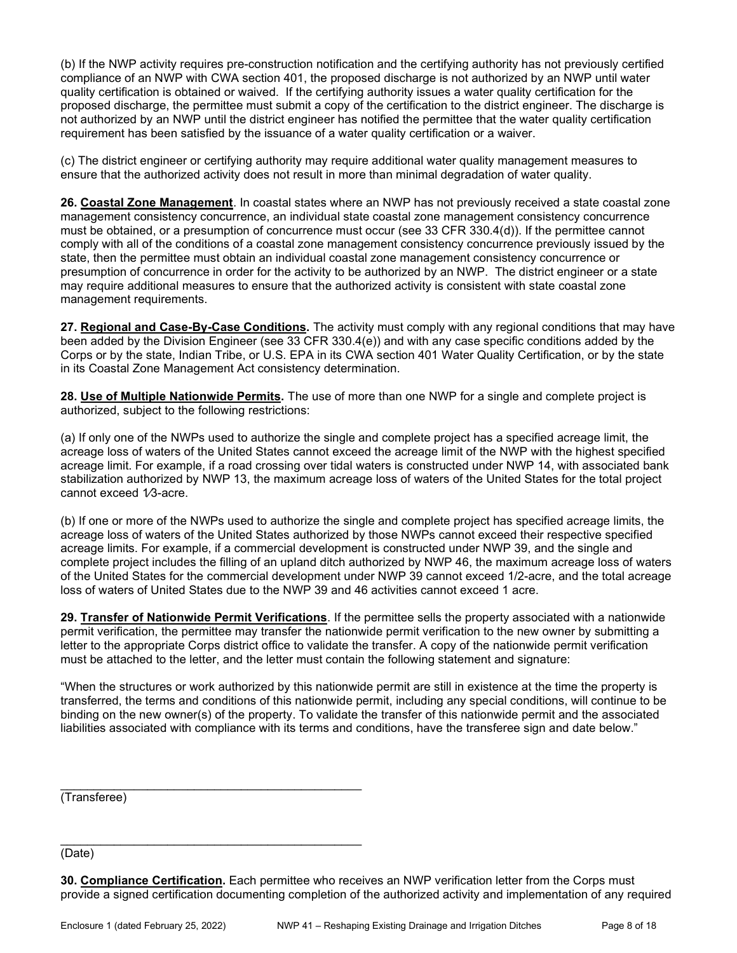(b) If the NWP activity requires pre-construction notification and the certifying authority has not previously certified compliance of an NWP with CWA section 401, the proposed discharge is not authorized by an NWP until water quality certification is obtained or waived. If the certifying authority issues a water quality certification for the proposed discharge, the permittee must submit a copy of the certification to the district engineer. The discharge is not authorized by an NWP until the district engineer has notified the permittee that the water quality certification requirement has been satisfied by the issuance of a water quality certification or a waiver.

(c) The district engineer or certifying authority may require additional water quality management measures to ensure that the authorized activity does not result in more than minimal degradation of water quality.

26. Coastal Zone Management. In coastal states where an NWP has not previously received a state coastal zone management consistency concurrence, an individual state coastal zone management consistency concurrence must be obtained, or a presumption of concurrence must occur (see 33 CFR 330.4(d)). If the permittee cannot comply with all of the conditions of a coastal zone management consistency concurrence previously issued by the state, then the permittee must obtain an individual coastal zone management consistency concurrence or presumption of concurrence in order for the activity to be authorized by an NWP. The district engineer or a state may require additional measures to ensure that the authorized activity is consistent with state coastal zone management requirements.

27. Regional and Case-By-Case Conditions. The activity must comply with any regional conditions that may have been added by the Division Engineer (see 33 CFR 330.4(e)) and with any case specific conditions added by the Corps or by the state, Indian Tribe, or U.S. EPA in its CWA section 401 Water Quality Certification, or by the state in its Coastal Zone Management Act consistency determination.

28. Use of Multiple Nationwide Permits. The use of more than one NWP for a single and complete project is authorized, subject to the following restrictions:

(a) If only one of the NWPs used to authorize the single and complete project has a specified acreage limit, the acreage loss of waters of the United States cannot exceed the acreage limit of the NWP with the highest specified acreage limit. For example, if a road crossing over tidal waters is constructed under NWP 14, with associated bank stabilization authorized by NWP 13, the maximum acreage loss of waters of the United States for the total project cannot exceed 1/3-acre.

(b) If one or more of the NWPs used to authorize the single and complete project has specified acreage limits, the acreage loss of waters of the United States authorized by those NWPs cannot exceed their respective specified acreage limits. For example, if a commercial development is constructed under NWP 39, and the single and complete project includes the filling of an upland ditch authorized by NWP 46, the maximum acreage loss of waters of the United States for the commercial development under NWP 39 cannot exceed 1/2-acre, and the total acreage loss of waters of United States due to the NWP 39 and 46 activities cannot exceed 1 acre.

29. Transfer of Nationwide Permit Verifications. If the permittee sells the property associated with a nationwide permit verification, the permittee may transfer the nationwide permit verification to the new owner by submitting a letter to the appropriate Corps district office to validate the transfer. A copy of the nationwide permit verification must be attached to the letter, and the letter must contain the following statement and signature:

"When the structures or work authorized by this nationwide permit are still in existence at the time the property is transferred, the terms and conditions of this nationwide permit, including any special conditions, will continue to be binding on the new owner(s) of the property. To validate the transfer of this nationwide permit and the associated liabilities associated with compliance with its terms and conditions, have the transferee sign and date below."

(Transferee)

(Date)

30. Compliance Certification. Each permittee who receives an NWP verification letter from the Corps must provide a signed certification documenting completion of the authorized activity and implementation of any required

\_\_\_\_\_\_\_\_\_\_\_\_\_\_\_\_\_\_\_\_\_\_\_\_\_\_\_\_\_\_\_\_\_\_\_\_\_\_\_\_\_\_\_\_\_

\_\_\_\_\_\_\_\_\_\_\_\_\_\_\_\_\_\_\_\_\_\_\_\_\_\_\_\_\_\_\_\_\_\_\_\_\_\_\_\_\_\_\_\_\_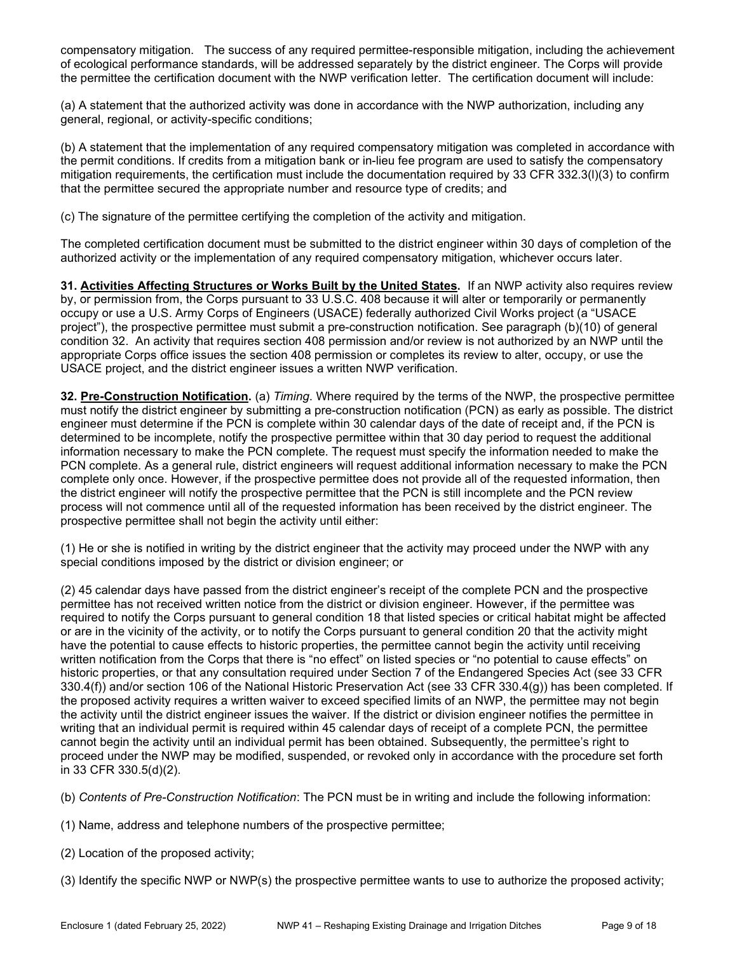compensatory mitigation. The success of any required permittee-responsible mitigation, including the achievement of ecological performance standards, will be addressed separately by the district engineer. The Corps will provide the permittee the certification document with the NWP verification letter. The certification document will include:

(a) A statement that the authorized activity was done in accordance with the NWP authorization, including any general, regional, or activity-specific conditions;

(b) A statement that the implementation of any required compensatory mitigation was completed in accordance with the permit conditions. If credits from a mitigation bank or in-lieu fee program are used to satisfy the compensatory mitigation requirements, the certification must include the documentation required by 33 CFR 332.3(l)(3) to confirm that the permittee secured the appropriate number and resource type of credits; and

(c) The signature of the permittee certifying the completion of the activity and mitigation.

The completed certification document must be submitted to the district engineer within 30 days of completion of the authorized activity or the implementation of any required compensatory mitigation, whichever occurs later.

31. Activities Affecting Structures or Works Built by the United States. If an NWP activity also requires review by, or permission from, the Corps pursuant to 33 U.S.C. 408 because it will alter or temporarily or permanently occupy or use a U.S. Army Corps of Engineers (USACE) federally authorized Civil Works project (a "USACE project"), the prospective permittee must submit a pre-construction notification. See paragraph (b)(10) of general condition 32. An activity that requires section 408 permission and/or review is not authorized by an NWP until the appropriate Corps office issues the section 408 permission or completes its review to alter, occupy, or use the USACE project, and the district engineer issues a written NWP verification.

32. Pre-Construction Notification. (a) Timing. Where required by the terms of the NWP, the prospective permittee must notify the district engineer by submitting a pre-construction notification (PCN) as early as possible. The district engineer must determine if the PCN is complete within 30 calendar days of the date of receipt and, if the PCN is determined to be incomplete, notify the prospective permittee within that 30 day period to request the additional information necessary to make the PCN complete. The request must specify the information needed to make the PCN complete. As a general rule, district engineers will request additional information necessary to make the PCN complete only once. However, if the prospective permittee does not provide all of the requested information, then the district engineer will notify the prospective permittee that the PCN is still incomplete and the PCN review process will not commence until all of the requested information has been received by the district engineer. The prospective permittee shall not begin the activity until either:

(1) He or she is notified in writing by the district engineer that the activity may proceed under the NWP with any special conditions imposed by the district or division engineer; or

(2) 45 calendar days have passed from the district engineer's receipt of the complete PCN and the prospective permittee has not received written notice from the district or division engineer. However, if the permittee was required to notify the Corps pursuant to general condition 18 that listed species or critical habitat might be affected or are in the vicinity of the activity, or to notify the Corps pursuant to general condition 20 that the activity might have the potential to cause effects to historic properties, the permittee cannot begin the activity until receiving written notification from the Corps that there is "no effect" on listed species or "no potential to cause effects" on historic properties, or that any consultation required under Section 7 of the Endangered Species Act (see 33 CFR 330.4(f)) and/or section 106 of the National Historic Preservation Act (see 33 CFR 330.4(g)) has been completed. If the proposed activity requires a written waiver to exceed specified limits of an NWP, the permittee may not begin the activity until the district engineer issues the waiver. If the district or division engineer notifies the permittee in writing that an individual permit is required within 45 calendar days of receipt of a complete PCN, the permittee cannot begin the activity until an individual permit has been obtained. Subsequently, the permittee's right to proceed under the NWP may be modified, suspended, or revoked only in accordance with the procedure set forth in 33 CFR 330.5(d)(2).

(b) Contents of Pre-Construction Notification: The PCN must be in writing and include the following information:

- (1) Name, address and telephone numbers of the prospective permittee;
- (2) Location of the proposed activity;

(3) Identify the specific NWP or NWP(s) the prospective permittee wants to use to authorize the proposed activity;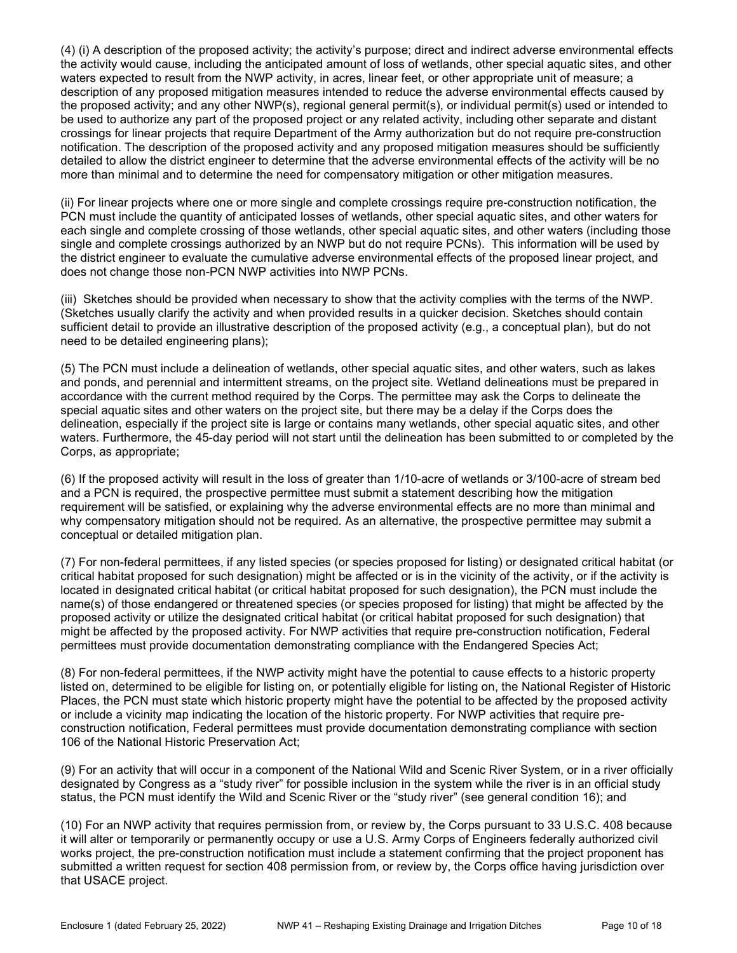(4) (i) A description of the proposed activity; the activity's purpose; direct and indirect adverse environmental effects the activity would cause, including the anticipated amount of loss of wetlands, other special aquatic sites, and other waters expected to result from the NWP activity, in acres, linear feet, or other appropriate unit of measure; a description of any proposed mitigation measures intended to reduce the adverse environmental effects caused by the proposed activity; and any other NWP(s), regional general permit(s), or individual permit(s) used or intended to be used to authorize any part of the proposed project or any related activity, including other separate and distant crossings for linear projects that require Department of the Army authorization but do not require pre-construction notification. The description of the proposed activity and any proposed mitigation measures should be sufficiently detailed to allow the district engineer to determine that the adverse environmental effects of the activity will be no more than minimal and to determine the need for compensatory mitigation or other mitigation measures.

(ii) For linear projects where one or more single and complete crossings require pre-construction notification, the PCN must include the quantity of anticipated losses of wetlands, other special aquatic sites, and other waters for each single and complete crossing of those wetlands, other special aquatic sites, and other waters (including those single and complete crossings authorized by an NWP but do not require PCNs). This information will be used by the district engineer to evaluate the cumulative adverse environmental effects of the proposed linear project, and does not change those non-PCN NWP activities into NWP PCNs.

(iii) Sketches should be provided when necessary to show that the activity complies with the terms of the NWP. (Sketches usually clarify the activity and when provided results in a quicker decision. Sketches should contain sufficient detail to provide an illustrative description of the proposed activity (e.g., a conceptual plan), but do not need to be detailed engineering plans);

(5) The PCN must include a delineation of wetlands, other special aquatic sites, and other waters, such as lakes and ponds, and perennial and intermittent streams, on the project site. Wetland delineations must be prepared in accordance with the current method required by the Corps. The permittee may ask the Corps to delineate the special aquatic sites and other waters on the project site, but there may be a delay if the Corps does the delineation, especially if the project site is large or contains many wetlands, other special aquatic sites, and other waters. Furthermore, the 45-day period will not start until the delineation has been submitted to or completed by the Corps, as appropriate;

(6) If the proposed activity will result in the loss of greater than 1/10-acre of wetlands or 3/100-acre of stream bed and a PCN is required, the prospective permittee must submit a statement describing how the mitigation requirement will be satisfied, or explaining why the adverse environmental effects are no more than minimal and why compensatory mitigation should not be required. As an alternative, the prospective permittee may submit a conceptual or detailed mitigation plan.

(7) For non-federal permittees, if any listed species (or species proposed for listing) or designated critical habitat (or critical habitat proposed for such designation) might be affected or is in the vicinity of the activity, or if the activity is located in designated critical habitat (or critical habitat proposed for such designation), the PCN must include the name(s) of those endangered or threatened species (or species proposed for listing) that might be affected by the proposed activity or utilize the designated critical habitat (or critical habitat proposed for such designation) that might be affected by the proposed activity. For NWP activities that require pre-construction notification, Federal permittees must provide documentation demonstrating compliance with the Endangered Species Act;

(8) For non-federal permittees, if the NWP activity might have the potential to cause effects to a historic property listed on, determined to be eligible for listing on, or potentially eligible for listing on, the National Register of Historic Places, the PCN must state which historic property might have the potential to be affected by the proposed activity or include a vicinity map indicating the location of the historic property. For NWP activities that require preconstruction notification, Federal permittees must provide documentation demonstrating compliance with section 106 of the National Historic Preservation Act;

(9) For an activity that will occur in a component of the National Wild and Scenic River System, or in a river officially designated by Congress as a "study river" for possible inclusion in the system while the river is in an official study status, the PCN must identify the Wild and Scenic River or the "study river" (see general condition 16); and

(10) For an NWP activity that requires permission from, or review by, the Corps pursuant to 33 U.S.C. 408 because it will alter or temporarily or permanently occupy or use a U.S. Army Corps of Engineers federally authorized civil works project, the pre-construction notification must include a statement confirming that the project proponent has submitted a written request for section 408 permission from, or review by, the Corps office having jurisdiction over that USACE project.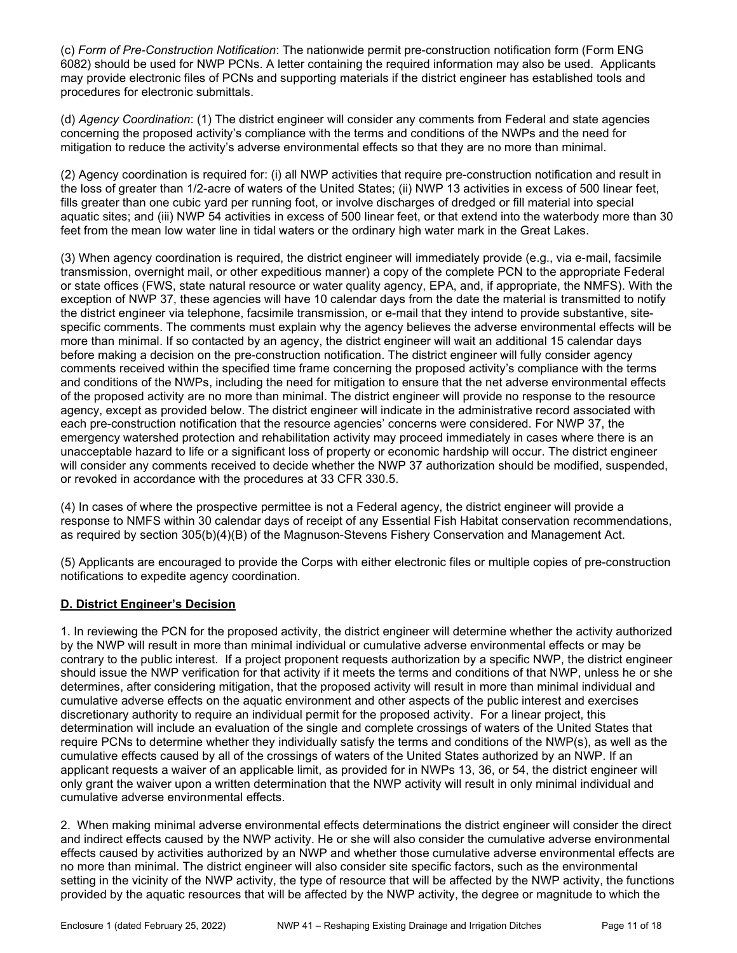(c) Form of Pre-Construction Notification: The nationwide permit pre-construction notification form (Form ENG 6082) should be used for NWP PCNs. A letter containing the required information may also be used. Applicants may provide electronic files of PCNs and supporting materials if the district engineer has established tools and procedures for electronic submittals.

(d) Agency Coordination: (1) The district engineer will consider any comments from Federal and state agencies concerning the proposed activity's compliance with the terms and conditions of the NWPs and the need for mitigation to reduce the activity's adverse environmental effects so that they are no more than minimal.

(2) Agency coordination is required for: (i) all NWP activities that require pre-construction notification and result in the loss of greater than 1/2-acre of waters of the United States; (ii) NWP 13 activities in excess of 500 linear feet, fills greater than one cubic yard per running foot, or involve discharges of dredged or fill material into special aquatic sites; and (iii) NWP 54 activities in excess of 500 linear feet, or that extend into the waterbody more than 30 feet from the mean low water line in tidal waters or the ordinary high water mark in the Great Lakes.

(3) When agency coordination is required, the district engineer will immediately provide (e.g., via e-mail, facsimile transmission, overnight mail, or other expeditious manner) a copy of the complete PCN to the appropriate Federal or state offices (FWS, state natural resource or water quality agency, EPA, and, if appropriate, the NMFS). With the exception of NWP 37, these agencies will have 10 calendar days from the date the material is transmitted to notify the district engineer via telephone, facsimile transmission, or e-mail that they intend to provide substantive, sitespecific comments. The comments must explain why the agency believes the adverse environmental effects will be more than minimal. If so contacted by an agency, the district engineer will wait an additional 15 calendar days before making a decision on the pre-construction notification. The district engineer will fully consider agency comments received within the specified time frame concerning the proposed activity's compliance with the terms and conditions of the NWPs, including the need for mitigation to ensure that the net adverse environmental effects of the proposed activity are no more than minimal. The district engineer will provide no response to the resource agency, except as provided below. The district engineer will indicate in the administrative record associated with each pre-construction notification that the resource agencies' concerns were considered. For NWP 37, the emergency watershed protection and rehabilitation activity may proceed immediately in cases where there is an unacceptable hazard to life or a significant loss of property or economic hardship will occur. The district engineer will consider any comments received to decide whether the NWP 37 authorization should be modified, suspended, or revoked in accordance with the procedures at 33 CFR 330.5.

(4) In cases of where the prospective permittee is not a Federal agency, the district engineer will provide a response to NMFS within 30 calendar days of receipt of any Essential Fish Habitat conservation recommendations, as required by section 305(b)(4)(B) of the Magnuson-Stevens Fishery Conservation and Management Act.

(5) Applicants are encouraged to provide the Corps with either electronic files or multiple copies of pre-construction notifications to expedite agency coordination.

## D. District Engineer's Decision

1. In reviewing the PCN for the proposed activity, the district engineer will determine whether the activity authorized by the NWP will result in more than minimal individual or cumulative adverse environmental effects or may be contrary to the public interest. If a project proponent requests authorization by a specific NWP, the district engineer should issue the NWP verification for that activity if it meets the terms and conditions of that NWP, unless he or she determines, after considering mitigation, that the proposed activity will result in more than minimal individual and cumulative adverse effects on the aquatic environment and other aspects of the public interest and exercises discretionary authority to require an individual permit for the proposed activity. For a linear project, this determination will include an evaluation of the single and complete crossings of waters of the United States that require PCNs to determine whether they individually satisfy the terms and conditions of the NWP(s), as well as the cumulative effects caused by all of the crossings of waters of the United States authorized by an NWP. If an applicant requests a waiver of an applicable limit, as provided for in NWPs 13, 36, or 54, the district engineer will only grant the waiver upon a written determination that the NWP activity will result in only minimal individual and cumulative adverse environmental effects.

2. When making minimal adverse environmental effects determinations the district engineer will consider the direct and indirect effects caused by the NWP activity. He or she will also consider the cumulative adverse environmental effects caused by activities authorized by an NWP and whether those cumulative adverse environmental effects are no more than minimal. The district engineer will also consider site specific factors, such as the environmental setting in the vicinity of the NWP activity, the type of resource that will be affected by the NWP activity, the functions provided by the aquatic resources that will be affected by the NWP activity, the degree or magnitude to which the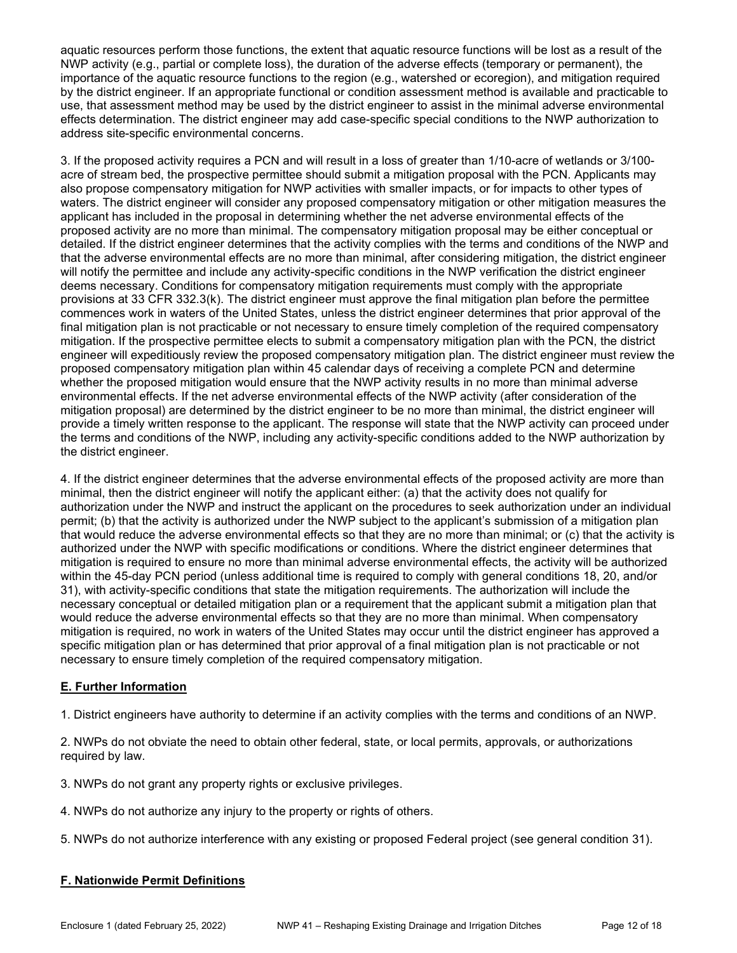aquatic resources perform those functions, the extent that aquatic resource functions will be lost as a result of the NWP activity (e.g., partial or complete loss), the duration of the adverse effects (temporary or permanent), the importance of the aquatic resource functions to the region (e.g., watershed or ecoregion), and mitigation required by the district engineer. If an appropriate functional or condition assessment method is available and practicable to use, that assessment method may be used by the district engineer to assist in the minimal adverse environmental effects determination. The district engineer may add case-specific special conditions to the NWP authorization to address site-specific environmental concerns.

3. If the proposed activity requires a PCN and will result in a loss of greater than 1/10-acre of wetlands or 3/100 acre of stream bed, the prospective permittee should submit a mitigation proposal with the PCN. Applicants may also propose compensatory mitigation for NWP activities with smaller impacts, or for impacts to other types of waters. The district engineer will consider any proposed compensatory mitigation or other mitigation measures the applicant has included in the proposal in determining whether the net adverse environmental effects of the proposed activity are no more than minimal. The compensatory mitigation proposal may be either conceptual or detailed. If the district engineer determines that the activity complies with the terms and conditions of the NWP and that the adverse environmental effects are no more than minimal, after considering mitigation, the district engineer will notify the permittee and include any activity-specific conditions in the NWP verification the district engineer deems necessary. Conditions for compensatory mitigation requirements must comply with the appropriate provisions at 33 CFR 332.3(k). The district engineer must approve the final mitigation plan before the permittee commences work in waters of the United States, unless the district engineer determines that prior approval of the final mitigation plan is not practicable or not necessary to ensure timely completion of the required compensatory mitigation. If the prospective permittee elects to submit a compensatory mitigation plan with the PCN, the district engineer will expeditiously review the proposed compensatory mitigation plan. The district engineer must review the proposed compensatory mitigation plan within 45 calendar days of receiving a complete PCN and determine whether the proposed mitigation would ensure that the NWP activity results in no more than minimal adverse environmental effects. If the net adverse environmental effects of the NWP activity (after consideration of the mitigation proposal) are determined by the district engineer to be no more than minimal, the district engineer will provide a timely written response to the applicant. The response will state that the NWP activity can proceed under the terms and conditions of the NWP, including any activity-specific conditions added to the NWP authorization by the district engineer.

4. If the district engineer determines that the adverse environmental effects of the proposed activity are more than minimal, then the district engineer will notify the applicant either: (a) that the activity does not qualify for authorization under the NWP and instruct the applicant on the procedures to seek authorization under an individual permit; (b) that the activity is authorized under the NWP subject to the applicant's submission of a mitigation plan that would reduce the adverse environmental effects so that they are no more than minimal; or (c) that the activity is authorized under the NWP with specific modifications or conditions. Where the district engineer determines that mitigation is required to ensure no more than minimal adverse environmental effects, the activity will be authorized within the 45-day PCN period (unless additional time is required to comply with general conditions 18, 20, and/or 31), with activity-specific conditions that state the mitigation requirements. The authorization will include the necessary conceptual or detailed mitigation plan or a requirement that the applicant submit a mitigation plan that would reduce the adverse environmental effects so that they are no more than minimal. When compensatory mitigation is required, no work in waters of the United States may occur until the district engineer has approved a specific mitigation plan or has determined that prior approval of a final mitigation plan is not practicable or not necessary to ensure timely completion of the required compensatory mitigation.

## E. Further Information

1. District engineers have authority to determine if an activity complies with the terms and conditions of an NWP.

2. NWPs do not obviate the need to obtain other federal, state, or local permits, approvals, or authorizations required by law.

3. NWPs do not grant any property rights or exclusive privileges.

- 4. NWPs do not authorize any injury to the property or rights of others.
- 5. NWPs do not authorize interference with any existing or proposed Federal project (see general condition 31).

## F. Nationwide Permit Definitions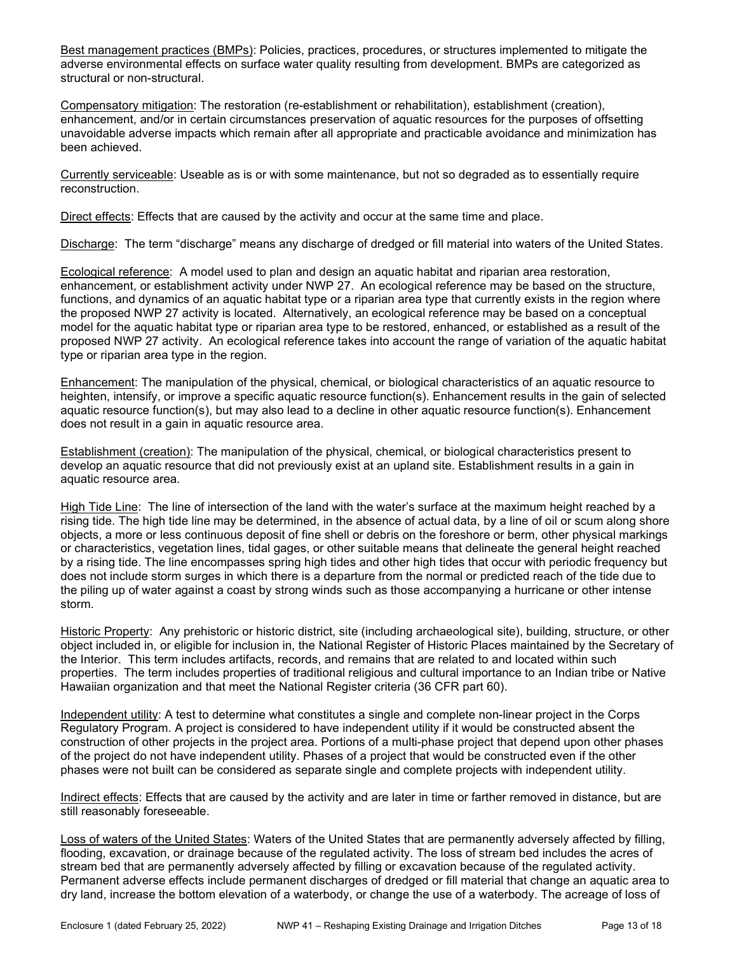Best management practices (BMPs): Policies, practices, procedures, or structures implemented to mitigate the adverse environmental effects on surface water quality resulting from development. BMPs are categorized as structural or non-structural.

Compensatory mitigation: The restoration (re-establishment or rehabilitation), establishment (creation), enhancement, and/or in certain circumstances preservation of aquatic resources for the purposes of offsetting unavoidable adverse impacts which remain after all appropriate and practicable avoidance and minimization has been achieved.

Currently serviceable: Useable as is or with some maintenance, but not so degraded as to essentially require reconstruction.

Direct effects: Effects that are caused by the activity and occur at the same time and place.

Discharge: The term "discharge" means any discharge of dredged or fill material into waters of the United States.

Ecological reference: A model used to plan and design an aquatic habitat and riparian area restoration, enhancement, or establishment activity under NWP 27. An ecological reference may be based on the structure, functions, and dynamics of an aquatic habitat type or a riparian area type that currently exists in the region where the proposed NWP 27 activity is located. Alternatively, an ecological reference may be based on a conceptual model for the aquatic habitat type or riparian area type to be restored, enhanced, or established as a result of the proposed NWP 27 activity. An ecological reference takes into account the range of variation of the aquatic habitat type or riparian area type in the region.

Enhancement: The manipulation of the physical, chemical, or biological characteristics of an aquatic resource to heighten, intensify, or improve a specific aquatic resource function(s). Enhancement results in the gain of selected aquatic resource function(s), but may also lead to a decline in other aquatic resource function(s). Enhancement does not result in a gain in aquatic resource area.

Establishment (creation): The manipulation of the physical, chemical, or biological characteristics present to develop an aquatic resource that did not previously exist at an upland site. Establishment results in a gain in aquatic resource area.

High Tide Line: The line of intersection of the land with the water's surface at the maximum height reached by a rising tide. The high tide line may be determined, in the absence of actual data, by a line of oil or scum along shore objects, a more or less continuous deposit of fine shell or debris on the foreshore or berm, other physical markings or characteristics, vegetation lines, tidal gages, or other suitable means that delineate the general height reached by a rising tide. The line encompasses spring high tides and other high tides that occur with periodic frequency but does not include storm surges in which there is a departure from the normal or predicted reach of the tide due to the piling up of water against a coast by strong winds such as those accompanying a hurricane or other intense storm.

Historic Property: Any prehistoric or historic district, site (including archaeological site), building, structure, or other object included in, or eligible for inclusion in, the National Register of Historic Places maintained by the Secretary of the Interior. This term includes artifacts, records, and remains that are related to and located within such properties. The term includes properties of traditional religious and cultural importance to an Indian tribe or Native Hawaiian organization and that meet the National Register criteria (36 CFR part 60).

Independent utility: A test to determine what constitutes a single and complete non-linear project in the Corps Regulatory Program. A project is considered to have independent utility if it would be constructed absent the construction of other projects in the project area. Portions of a multi-phase project that depend upon other phases of the project do not have independent utility. Phases of a project that would be constructed even if the other phases were not built can be considered as separate single and complete projects with independent utility.

Indirect effects: Effects that are caused by the activity and are later in time or farther removed in distance, but are still reasonably foreseeable.

Loss of waters of the United States: Waters of the United States that are permanently adversely affected by filling, flooding, excavation, or drainage because of the regulated activity. The loss of stream bed includes the acres of stream bed that are permanently adversely affected by filling or excavation because of the regulated activity. Permanent adverse effects include permanent discharges of dredged or fill material that change an aquatic area to dry land, increase the bottom elevation of a waterbody, or change the use of a waterbody. The acreage of loss of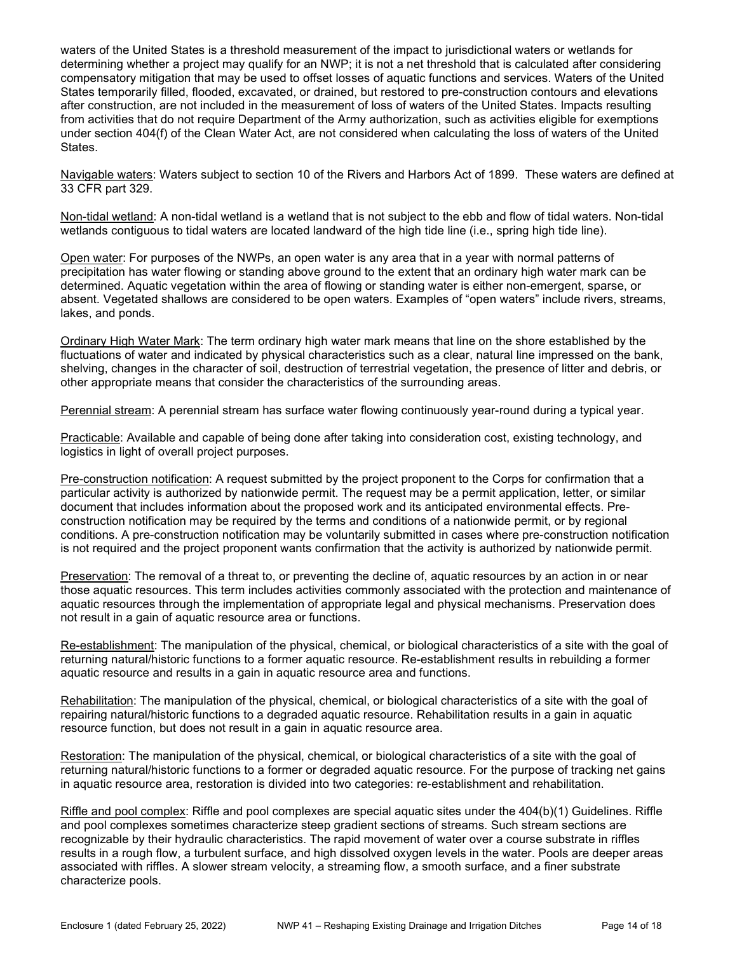waters of the United States is a threshold measurement of the impact to jurisdictional waters or wetlands for determining whether a project may qualify for an NWP; it is not a net threshold that is calculated after considering compensatory mitigation that may be used to offset losses of aquatic functions and services. Waters of the United States temporarily filled, flooded, excavated, or drained, but restored to pre-construction contours and elevations after construction, are not included in the measurement of loss of waters of the United States. Impacts resulting from activities that do not require Department of the Army authorization, such as activities eligible for exemptions under section 404(f) of the Clean Water Act, are not considered when calculating the loss of waters of the United States.

Navigable waters: Waters subject to section 10 of the Rivers and Harbors Act of 1899. These waters are defined at 33 CFR part 329.

Non-tidal wetland: A non-tidal wetland is a wetland that is not subject to the ebb and flow of tidal waters. Non-tidal wetlands contiguous to tidal waters are located landward of the high tide line (i.e., spring high tide line).

Open water: For purposes of the NWPs, an open water is any area that in a year with normal patterns of precipitation has water flowing or standing above ground to the extent that an ordinary high water mark can be determined. Aquatic vegetation within the area of flowing or standing water is either non-emergent, sparse, or absent. Vegetated shallows are considered to be open waters. Examples of "open waters" include rivers, streams, lakes, and ponds.

Ordinary High Water Mark: The term ordinary high water mark means that line on the shore established by the fluctuations of water and indicated by physical characteristics such as a clear, natural line impressed on the bank, shelving, changes in the character of soil, destruction of terrestrial vegetation, the presence of litter and debris, or other appropriate means that consider the characteristics of the surrounding areas.

Perennial stream: A perennial stream has surface water flowing continuously year-round during a typical year.

Practicable: Available and capable of being done after taking into consideration cost, existing technology, and logistics in light of overall project purposes.

Pre-construction notification: A request submitted by the project proponent to the Corps for confirmation that a particular activity is authorized by nationwide permit. The request may be a permit application, letter, or similar document that includes information about the proposed work and its anticipated environmental effects. Preconstruction notification may be required by the terms and conditions of a nationwide permit, or by regional conditions. A pre-construction notification may be voluntarily submitted in cases where pre-construction notification is not required and the project proponent wants confirmation that the activity is authorized by nationwide permit.

Preservation: The removal of a threat to, or preventing the decline of, aquatic resources by an action in or near those aquatic resources. This term includes activities commonly associated with the protection and maintenance of aquatic resources through the implementation of appropriate legal and physical mechanisms. Preservation does not result in a gain of aquatic resource area or functions.

Re-establishment: The manipulation of the physical, chemical, or biological characteristics of a site with the goal of returning natural/historic functions to a former aquatic resource. Re-establishment results in rebuilding a former aquatic resource and results in a gain in aquatic resource area and functions.

Rehabilitation: The manipulation of the physical, chemical, or biological characteristics of a site with the goal of repairing natural/historic functions to a degraded aquatic resource. Rehabilitation results in a gain in aquatic resource function, but does not result in a gain in aquatic resource area.

Restoration: The manipulation of the physical, chemical, or biological characteristics of a site with the goal of returning natural/historic functions to a former or degraded aquatic resource. For the purpose of tracking net gains in aquatic resource area, restoration is divided into two categories: re-establishment and rehabilitation.

Riffle and pool complex: Riffle and pool complexes are special aquatic sites under the 404(b)(1) Guidelines. Riffle and pool complexes sometimes characterize steep gradient sections of streams. Such stream sections are recognizable by their hydraulic characteristics. The rapid movement of water over a course substrate in riffles results in a rough flow, a turbulent surface, and high dissolved oxygen levels in the water. Pools are deeper areas associated with riffles. A slower stream velocity, a streaming flow, a smooth surface, and a finer substrate characterize pools.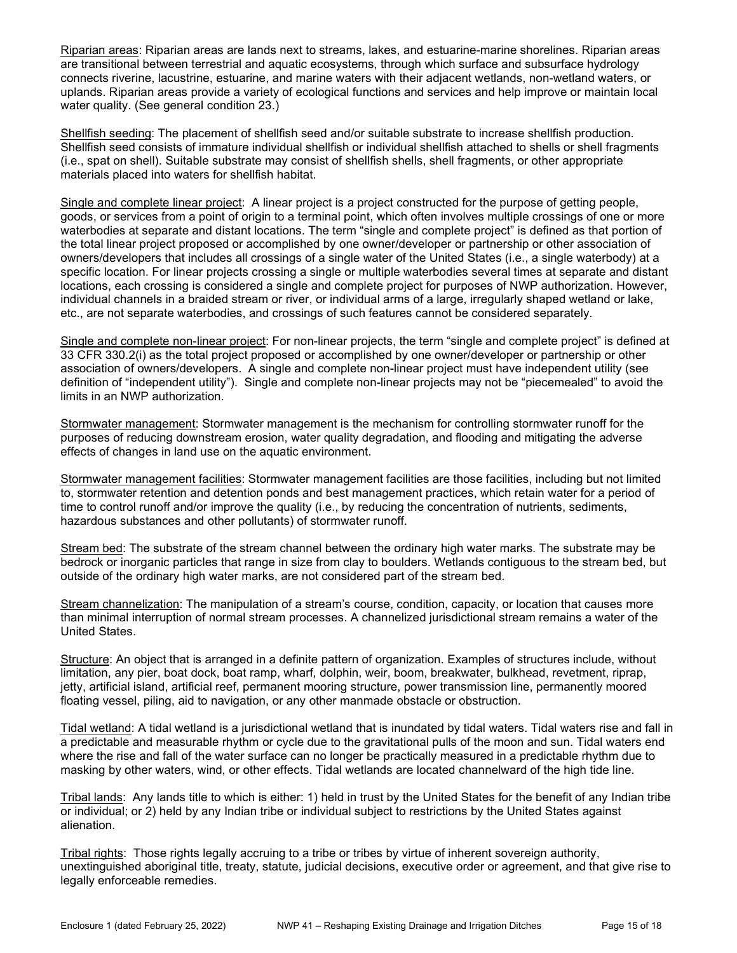Riparian areas: Riparian areas are lands next to streams, lakes, and estuarine-marine shorelines. Riparian areas are transitional between terrestrial and aquatic ecosystems, through which surface and subsurface hydrology connects riverine, lacustrine, estuarine, and marine waters with their adjacent wetlands, non-wetland waters, or uplands. Riparian areas provide a variety of ecological functions and services and help improve or maintain local water quality. (See general condition 23.)

Shellfish seeding: The placement of shellfish seed and/or suitable substrate to increase shellfish production. Shellfish seed consists of immature individual shellfish or individual shellfish attached to shells or shell fragments (i.e., spat on shell). Suitable substrate may consist of shellfish shells, shell fragments, or other appropriate materials placed into waters for shellfish habitat.

Single and complete linear project: A linear project is a project constructed for the purpose of getting people, goods, or services from a point of origin to a terminal point, which often involves multiple crossings of one or more waterbodies at separate and distant locations. The term "single and complete project" is defined as that portion of the total linear project proposed or accomplished by one owner/developer or partnership or other association of owners/developers that includes all crossings of a single water of the United States (i.e., a single waterbody) at a specific location. For linear projects crossing a single or multiple waterbodies several times at separate and distant locations, each crossing is considered a single and complete project for purposes of NWP authorization. However, individual channels in a braided stream or river, or individual arms of a large, irregularly shaped wetland or lake, etc., are not separate waterbodies, and crossings of such features cannot be considered separately.

Single and complete non-linear project: For non-linear projects, the term "single and complete project" is defined at 33 CFR 330.2(i) as the total project proposed or accomplished by one owner/developer or partnership or other association of owners/developers. A single and complete non-linear project must have independent utility (see definition of "independent utility"). Single and complete non-linear projects may not be "piecemealed" to avoid the limits in an NWP authorization.

Stormwater management: Stormwater management is the mechanism for controlling stormwater runoff for the purposes of reducing downstream erosion, water quality degradation, and flooding and mitigating the adverse effects of changes in land use on the aquatic environment.

Stormwater management facilities: Stormwater management facilities are those facilities, including but not limited to, stormwater retention and detention ponds and best management practices, which retain water for a period of time to control runoff and/or improve the quality (i.e., by reducing the concentration of nutrients, sediments, hazardous substances and other pollutants) of stormwater runoff.

Stream bed: The substrate of the stream channel between the ordinary high water marks. The substrate may be bedrock or inorganic particles that range in size from clay to boulders. Wetlands contiguous to the stream bed, but outside of the ordinary high water marks, are not considered part of the stream bed.

Stream channelization: The manipulation of a stream's course, condition, capacity, or location that causes more than minimal interruption of normal stream processes. A channelized jurisdictional stream remains a water of the United States.

Structure: An object that is arranged in a definite pattern of organization. Examples of structures include, without limitation, any pier, boat dock, boat ramp, wharf, dolphin, weir, boom, breakwater, bulkhead, revetment, riprap, jetty, artificial island, artificial reef, permanent mooring structure, power transmission line, permanently moored floating vessel, piling, aid to navigation, or any other manmade obstacle or obstruction.

Tidal wetland: A tidal wetland is a jurisdictional wetland that is inundated by tidal waters. Tidal waters rise and fall in a predictable and measurable rhythm or cycle due to the gravitational pulls of the moon and sun. Tidal waters end where the rise and fall of the water surface can no longer be practically measured in a predictable rhythm due to masking by other waters, wind, or other effects. Tidal wetlands are located channelward of the high tide line.

Tribal lands: Any lands title to which is either: 1) held in trust by the United States for the benefit of any Indian tribe or individual; or 2) held by any Indian tribe or individual subject to restrictions by the United States against alienation.

Tribal rights: Those rights legally accruing to a tribe or tribes by virtue of inherent sovereign authority, unextinguished aboriginal title, treaty, statute, judicial decisions, executive order or agreement, and that give rise to legally enforceable remedies.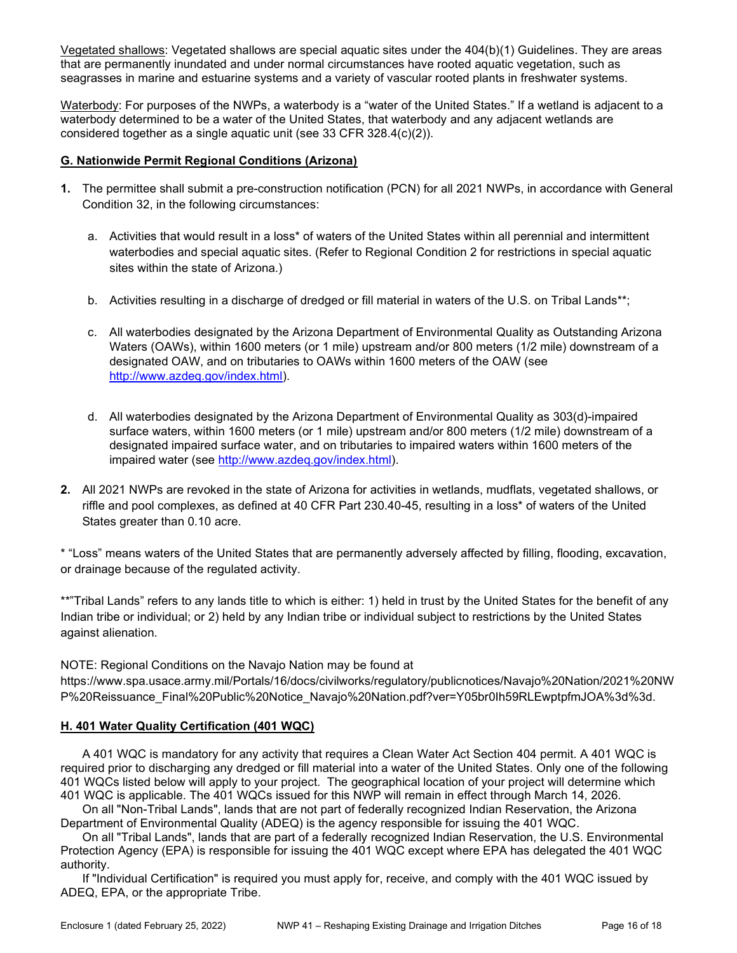Vegetated shallows: Vegetated shallows are special aquatic sites under the 404(b)(1) Guidelines. They are areas that are permanently inundated and under normal circumstances have rooted aquatic vegetation, such as seagrasses in marine and estuarine systems and a variety of vascular rooted plants in freshwater systems.

Waterbody: For purposes of the NWPs, a waterbody is a "water of the United States." If a wetland is adjacent to a waterbody determined to be a water of the United States, that waterbody and any adjacent wetlands are considered together as a single aquatic unit (see 33 CFR 328.4(c)(2)).

### G. Nationwide Permit Regional Conditions (Arizona)

- 1. The permittee shall submit a pre-construction notification (PCN) for all 2021 NWPs, in accordance with General Condition 32, in the following circumstances:
	- a. Activities that would result in a loss\* of waters of the United States within all perennial and intermittent waterbodies and special aquatic sites. (Refer to Regional Condition 2 for restrictions in special aquatic sites within the state of Arizona.)
	- b. Activities resulting in a discharge of dredged or fill material in waters of the U.S. on Tribal Lands\*\*;
	- c. All waterbodies designated by the Arizona Department of Environmental Quality as Outstanding Arizona Waters (OAWs), within 1600 meters (or 1 mile) upstream and/or 800 meters (1/2 mile) downstream of a designated OAW, and on tributaries to OAWs within 1600 meters of the OAW (see http://www.azdeq.gov/index.html).
	- d. All waterbodies designated by the Arizona Department of Environmental Quality as 303(d)-impaired surface waters, within 1600 meters (or 1 mile) upstream and/or 800 meters (1/2 mile) downstream of a designated impaired surface water, and on tributaries to impaired waters within 1600 meters of the impaired water (see http://www.azdeq.gov/index.html).
- 2. All 2021 NWPs are revoked in the state of Arizona for activities in wetlands, mudflats, vegetated shallows, or riffle and pool complexes, as defined at 40 CFR Part 230.40-45, resulting in a loss\* of waters of the United States greater than 0.10 acre.

\* "Loss" means waters of the United States that are permanently adversely affected by filling, flooding, excavation, or drainage because of the regulated activity.

\*\*"Tribal Lands" refers to any lands title to which is either: 1) held in trust by the United States for the benefit of any Indian tribe or individual; or 2) held by any Indian tribe or individual subject to restrictions by the United States against alienation.

NOTE: Regional Conditions on the Navajo Nation may be found at

https://www.spa.usace.army.mil/Portals/16/docs/civilworks/regulatory/publicnotices/Navajo%20Nation/2021%20NW P%20Reissuance\_Final%20Public%20Notice\_Navajo%20Nation.pdf?ver=Y05br0Ih59RLEwptpfmJOA%3d%3d.

#### H. 401 Water Quality Certification (401 WQC)

 A 401 WQC is mandatory for any activity that requires a Clean Water Act Section 404 permit. A 401 WQC is required prior to discharging any dredged or fill material into a water of the United States. Only one of the following 401 WQCs listed below will apply to your project. The geographical location of your project will determine which 401 WQC is applicable. The 401 WQCs issued for this NWP will remain in effect through March 14, 2026.

 On all "Non-Tribal Lands", lands that are not part of federally recognized Indian Reservation, the Arizona Department of Environmental Quality (ADEQ) is the agency responsible for issuing the 401 WQC.

 On all "Tribal Lands", lands that are part of a federally recognized Indian Reservation, the U.S. Environmental Protection Agency (EPA) is responsible for issuing the 401 WQC except where EPA has delegated the 401 WQC authority.

 If "Individual Certification" is required you must apply for, receive, and comply with the 401 WQC issued by ADEQ, EPA, or the appropriate Tribe.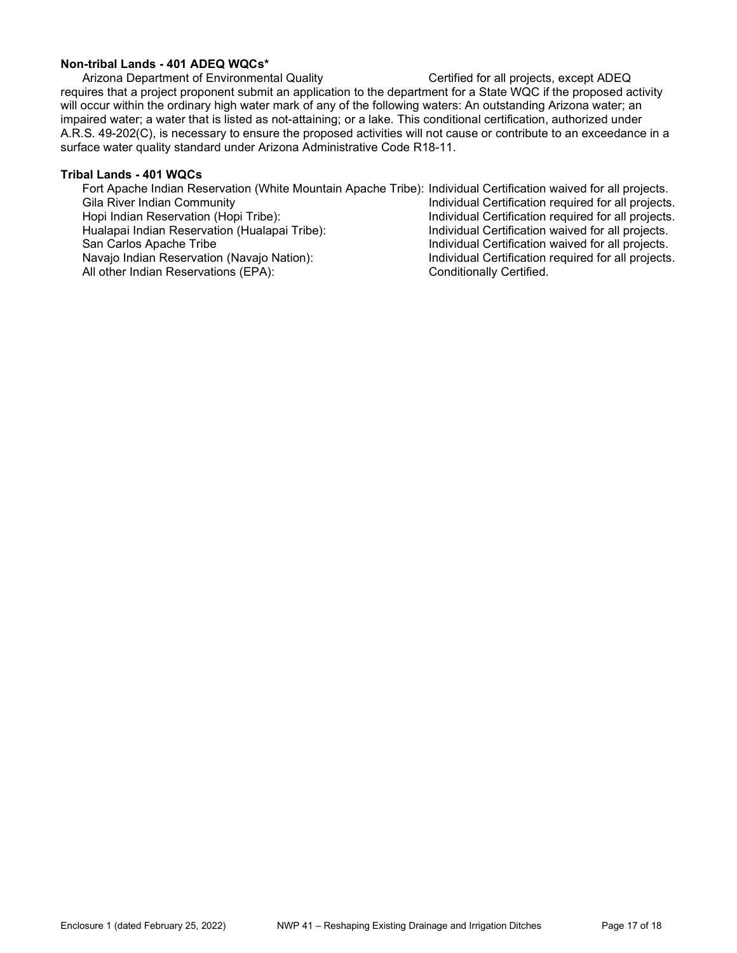### Non-tribal Lands - 401 ADEQ WQCs\*

Arizona Department of Environmental Quality Certified for all projects, except ADEQ requires that a project proponent submit an application to the department for a State WQC if the proposed activity will occur within the ordinary high water mark of any of the following waters: An outstanding Arizona water; an impaired water; a water that is listed as not-attaining; or a lake. This conditional certification, authorized under A.R.S. 49-202(C), is necessary to ensure the proposed activities will not cause or contribute to an exceedance in a surface water quality standard under Arizona Administrative Code R18-11.

#### Tribal Lands - 401 WQCs

 Fort Apache Indian Reservation (White Mountain Apache Tribe): Individual Certification waived for all projects. Gila River Indian Community **Individual Certification required for all projects.** Hopi Indian Reservation (Hopi Tribe): Individual Certification required for all projects. Hualapai Indian Reservation (Hualapai Tribe): Individual Certification waived for all projects.<br>San Carlos Apache Tribe **Individual Certification waived for all projects**. Individual Certification waived for all projects. Navajo Indian Reservation (Navajo Nation): Individual Certification required for all projects. All other Indian Reservations (EPA): Conditionally Certified.